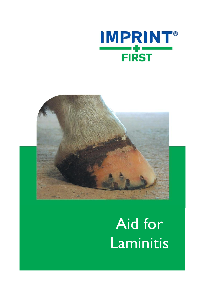



# Aid for Laminitis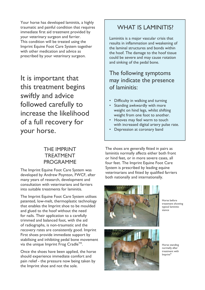Your horse has developed laminitis, a highly traumatic and painful condition that requires immediate first aid treatment provided by your veterinary surgeon and farrier. This condition will be treated using the Imprint Equine Foot Care System together with other medication and advice as prescribed by your veterinary surgeon.

It is important that this treatment begins swiftly and advice followed carefully to increase the likelihood of a full recovery for your horse.

#### THE IMPRINT TREATMENT PROGRAMME

The Imprint Equine Foot Care System was developed by Andrew Poynton, FWCF, after many years of research, development and consultation with veterinarians and farriers into suitable treatments for laminitis.

The Imprint Equine Foot Care System utilises patented, low-melt, thermoplastic technology that enables the Imprint shoe to be moulded and glued to the hoof without the need for nails. Their application to a carefully trimmed and balanced foot, with the aid of radiographs, is non-traumatic and the recovery rates are consistently good. Imprint First shoes provide immediate support by stabilising and inhibiting pedal bone movement via the unique Imprint Frog Cradle<sup>TM</sup>.

Once the shoes have been applied, the horse should experience immediate comfort and pain relief - the pressure now being taken by the Imprint shoe and not the sole.

### WHAT IS LAMINITIS?

Laminitis is a major vascular crisis that results in inflammation and weakening of the laminal structures and bonds within the hoof. The damage to the hoof tissue could be severe and may cause rotation and sinking of the pedal bone.

#### The following symptoms may indicate the presence of laminitis:

- Difficulty in walking and turning
- Standing awkwardly with more weight on hind legs, whilst shifting weight from one foot to another.
- Hooves may feel warm to touch with increased digital artery pulse rate.
- Depression at coronary band

The shoes are generally fitted in pairs as laminitis normally affects either both front or hind feet, or in more severe cases, all four feet. The Imprint Equine Foot Care System is prescribed by leading equine veterinarians and fitted by qualified farriers both nationally and internationally.



Horse before treatment showing typical laminitic stance



Horse standing normally after treatment with Imprint®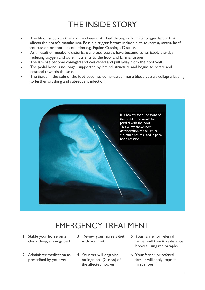## THE INSIDE STORY

- The blood supply to the hoof has been disturbed through a laminitic trigger factor that  $\bullet$ affects the horse's metabolism. Possible trigger factors include diet, toxaemia, stress, hoof concussion or another condition e.g. Equine Cushing's Disease.
- As a result of metabolic disturbance, blood vessels have become constricted, thereby reducing oxygen and other nutrients to the hoof and laminal tissues.
- The laminae become damaged and weakened and pull away from the hoof wall.
- The pedal bone is no longer supported by laminal structure and begins to rotate and descend towards the sole.
- The tissue in the sole of the foot becomes compressed, more blood vessels collapse leading to further crushing and subsequent infection.



## EMERGENCY TREATMENT

- 1 Stable your horse on a clean, deep, shavings bed
- 2 Administer medication as prescribed by your vet
- 3 Review your horse's diet with your vet
- 4 Your vet will organise radiographs (X-rays) of the affected hooves
- 5 Your farrier or referral farrier will trim & re-balance hooves using radiographs
- 6 Your farrier or referral farrier will apply Imprint First shoes